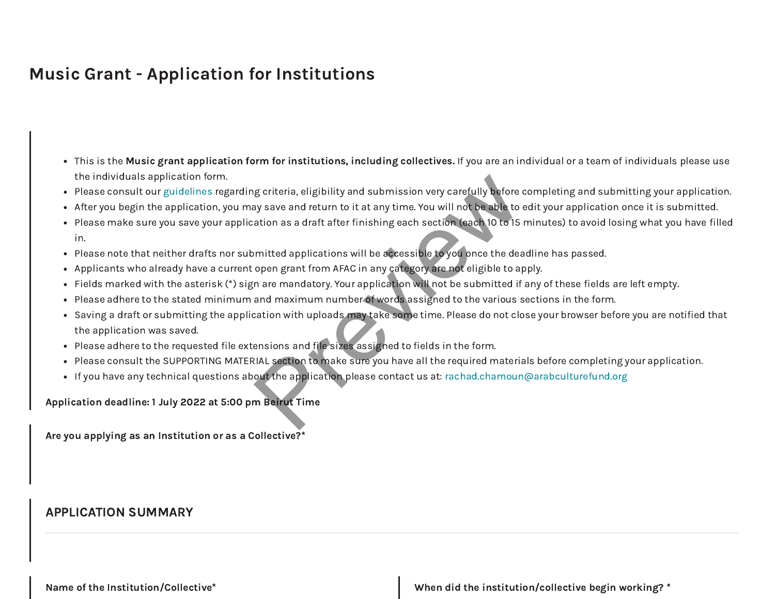# Music Grant - Application for Institutions

- This is the Music grant application form for institutions, including collectives. If you are an individual or a team of individuals please use the individuals application form.
- Please consult our [guidelines](https://www.arabculturefund.org/Programs/15) regarding criteria, eligibility and submission very carefully before completing and submitting your application.
- After you begin the application, you may save and return to it at any time. You will not be able to edit your application once it is submitted.
- Please make sure you save your application as a draft after finishing each section (each 10 to 15 minutes) to avoid losing what you have filled in. g criteria, eligibility and submission very carefully before and say save and return to it at any time. You will not be able to ation as a draft after finishing each section (each 10 to 15 mitted applications will be acces
- Please note that neither drafts nor submitted applications will be accessible to you once the deadline has passed.
- Applicants who already have a current open grant from AFAC in any category are not eligible to apply.
- Fields marked with the asterisk (\*) sign are mandatory. Your application will not be submitted if any of these fields are left empty.
- Please adhere to the stated minimum and maximum number of words assigned to the various sections in the form.
- Saving a draft or submitting the application with uploads may take some time. Please do not close your browser before you are notified that the application was saved.
- Please adhere to the requested file extensions and file sizes assigned to fields in the form.
- Please consult the SUPPORTING MATERIAL section to make sure you have all the required materials before completing your application.
- If you have any technical questions about the application please contact us at: [rachad.chamoun@arabculturefund.org](mailto:rachad.chamoun@arabculturefund.org)

Application deadline: 1 July 2022 at 5:00 pm Beirut Time

Are you applying as an Institution or as a Collective?\*

## APPLICATION SUMMARY

Name of the Institution/Collective\* When did the institution/collective begin working? \*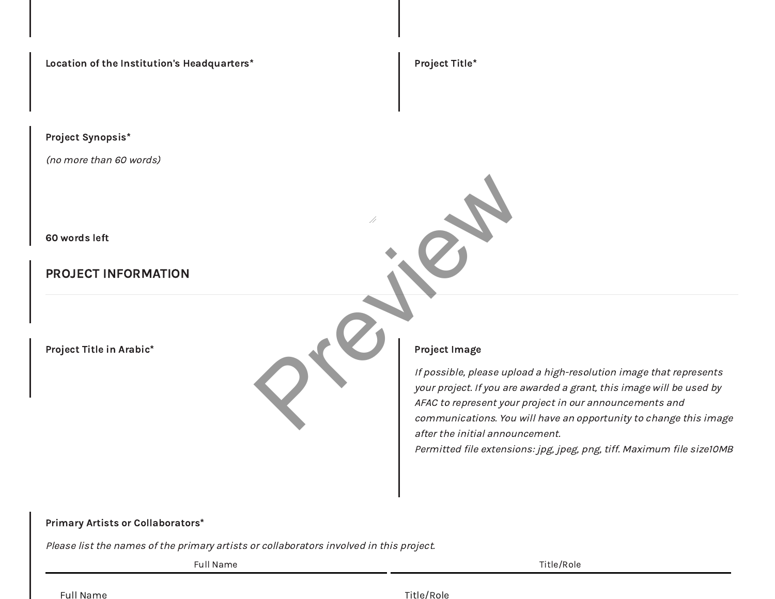Location of the Institution's Headquarters\* Project Title\* Project Title\*

Project Synopsis\*

(no more than 60 words)

60 words left

# PROJECT INFORMATION

Project Title in Arabic\* Project Image

If possible, please upload a high-resolution image that represents your project. If you are awarded a grant, this image will be used by AFAC to represent your project in our announcements and communications. You will have an opportunity to change this image after the initial announcement. Project Image<br>
If possible, please uplo.<br>
Sur project. If you are a<br>
AFAC to represent your,<br>
communications. You v

Permitted file extensions: jpg, jpeg, png, tiff. Maximum file size10MB

### Primary Artists or Collaborators\*

Please list the names of the primary artists or collaborators involved in this project.

Full Name Title/Role

Full Name Title/Role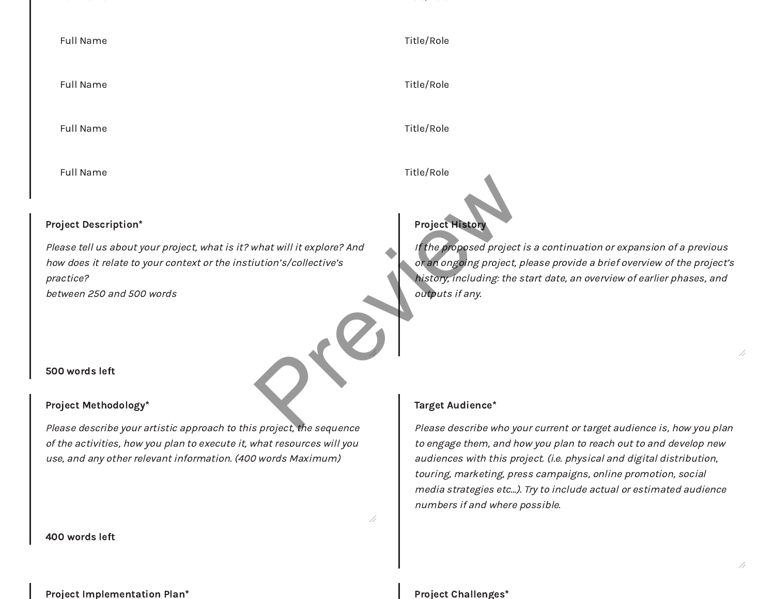| <b>Full Name</b>                                                                                                                                                                                               | Title/Role                                                                                                                                                                                                                                                                         |
|----------------------------------------------------------------------------------------------------------------------------------------------------------------------------------------------------------------|------------------------------------------------------------------------------------------------------------------------------------------------------------------------------------------------------------------------------------------------------------------------------------|
|                                                                                                                                                                                                                |                                                                                                                                                                                                                                                                                    |
| <b>Full Name</b>                                                                                                                                                                                               | Title/Role                                                                                                                                                                                                                                                                         |
|                                                                                                                                                                                                                |                                                                                                                                                                                                                                                                                    |
| <b>Full Name</b>                                                                                                                                                                                               | Title/Role                                                                                                                                                                                                                                                                         |
| <b>Full Name</b>                                                                                                                                                                                               | Title/Role                                                                                                                                                                                                                                                                         |
| <b>Project Description*</b>                                                                                                                                                                                    | <b>Project History</b>                                                                                                                                                                                                                                                             |
| Please tell us about your project, what is it? what will it explore? And<br>how does it relate to your context or the instiution's/collective's                                                                | If the proposed project is a continuation or expansion of a previous<br>or an ongoing project, please provide a brief overview of the project's                                                                                                                                    |
| practice?                                                                                                                                                                                                      | history, including: the start date, an overview of earlier phases, and                                                                                                                                                                                                             |
| between 250 and 500 words                                                                                                                                                                                      | outputs if any.                                                                                                                                                                                                                                                                    |
| 500 words left                                                                                                                                                                                                 |                                                                                                                                                                                                                                                                                    |
| Project Methodology*                                                                                                                                                                                           | Target Audience*                                                                                                                                                                                                                                                                   |
| Please describe your artistic approach to this project, the sequence<br>of the activities, how you plan to execute it, what resources will you<br>use, and any other relevant information. (400 words Maximum) | Please describe who your current or target audience is, how you plan<br>to engage them, and how you plan to reach out to and develop new<br>audiences with this project. (i.e. physical and digital distribution,<br>touring, marketing, press campaigns, online promotion, social |

400 words left

#### Project Implementation Plan\* Project Challenges\* Project Challenges\*

//

numbers if and where possible.

media strategies etc…). Try to include actual or estimated audience

#### $\overline{\mathcal{A}}$

//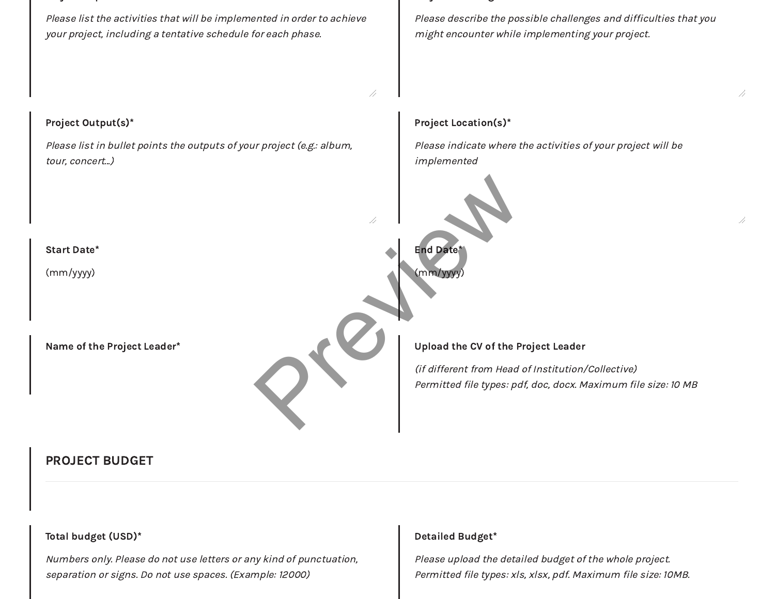Please list the activities that will be implemented in order to achieve your project, including a tentative schedule for each phase.

Please describe the possible challenges and difficulties that you might encounter while implementing your project.

### Project Output(s)\*

Please list in bullet points the outputs of your project (e.g.: album, tour, concert...)

### Project Location(s)\*

Please indicate where the activities of your project will be implemented



# PROJECT BUDGET

## Total budget (USD)\*

Numbers only. Please do not use letters or any kind of punctuation, separation or signs. Do not use spaces. (Example: 12000)

#### Detailed Budget\*

Please upload the detailed budget of the whole project. Permitted file types: xls, xlsx, pdf. Maximum file size: 10MB. //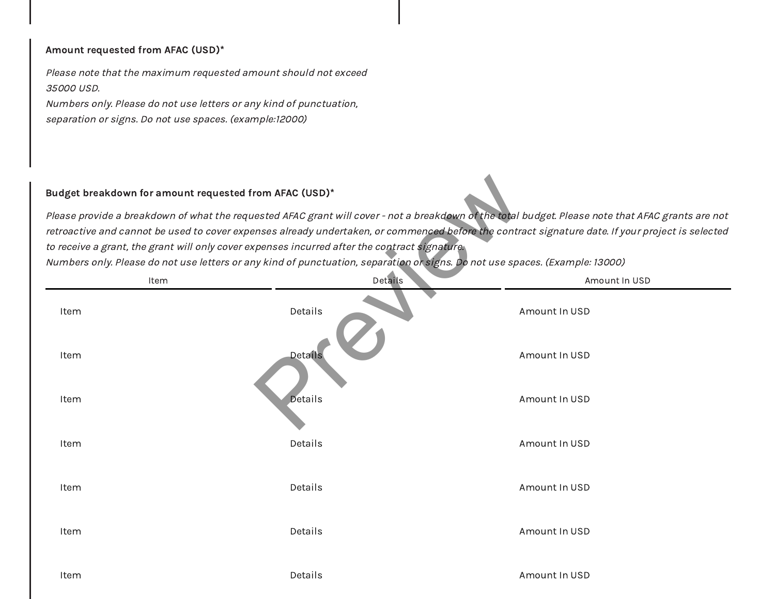#### Amount requested from AFAC (USD)\*

Please note that the maximum requested amount should not exceed 35000 USD.

Numbers only. Please do not use letters or any kind of punctuation, separation or signs. Do not use spaces. (example:12000)

### Budget breakdown for amount requested from AFAC (USD)\*

| Budget breakdown for amount requested from AFAC (USD) $^*$ |                                                                                                                                                                                                                                                        |                                                                                                                                                                                                                                                                                                        |
|------------------------------------------------------------|--------------------------------------------------------------------------------------------------------------------------------------------------------------------------------------------------------------------------------------------------------|--------------------------------------------------------------------------------------------------------------------------------------------------------------------------------------------------------------------------------------------------------------------------------------------------------|
|                                                            | to receive a grant, the grant will only cover expenses incurred after the contract signature. $\overline{\phantom{a}}$<br>Numbers only. Please do not use letters or any kind of punctuation, separation or signs. Do not use spaces. (Example: 13000) | Please provide a breakdown of what the requested AFAC grant will cover - not a breakdown of the total budget. Please note that AFAC grants are not<br>etroactive and cannot be used to cover expenses already undertaken, or commenced before the contract signature date. If your project is selected |
| Item                                                       | Details                                                                                                                                                                                                                                                | Amount In USD                                                                                                                                                                                                                                                                                          |
| Item                                                       | Details                                                                                                                                                                                                                                                | Amount In USD                                                                                                                                                                                                                                                                                          |
| Item                                                       | Details                                                                                                                                                                                                                                                | Amount In USD                                                                                                                                                                                                                                                                                          |
| Item                                                       | <b>Details</b>                                                                                                                                                                                                                                         | Amount In USD                                                                                                                                                                                                                                                                                          |
| Item                                                       | Details                                                                                                                                                                                                                                                | Amount In USD                                                                                                                                                                                                                                                                                          |
| Item                                                       | Details                                                                                                                                                                                                                                                | Amount In USD                                                                                                                                                                                                                                                                                          |
| Item                                                       | Details                                                                                                                                                                                                                                                | Amount In USD                                                                                                                                                                                                                                                                                          |
| Item                                                       | Details                                                                                                                                                                                                                                                | Amount In USD                                                                                                                                                                                                                                                                                          |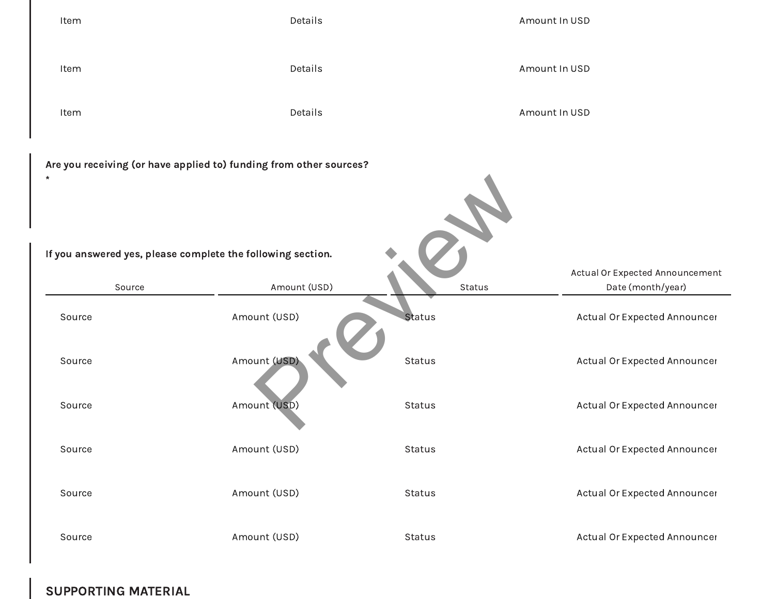

SUPPORTING MATERIAL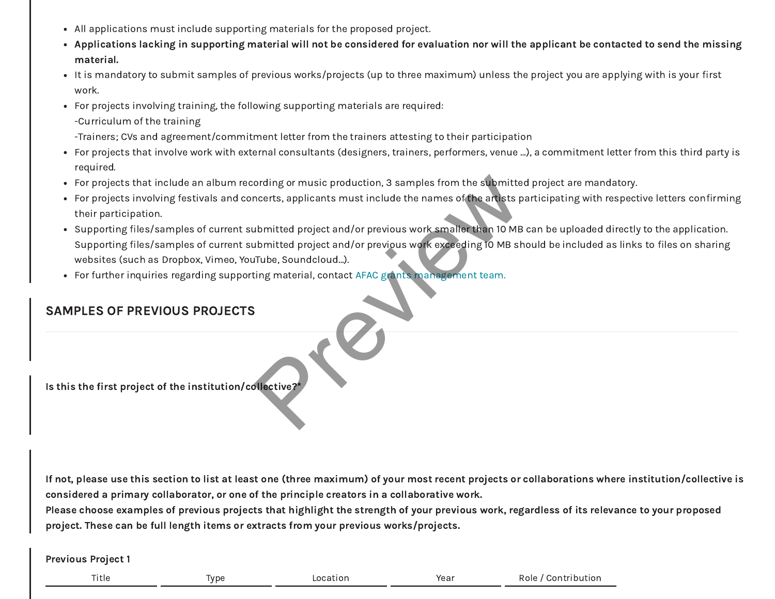- All applications must include supporting materials for the proposed project.
- Applications lacking in supporting material will not be considered for evaluation nor will the applicant be contacted to send the missing material.
- It is mandatory to submit samples of previous works/projects (up to three maximum) unless the project you are applying with is your first work.
- For projects involving training, the following supporting materials are required:
	- -Curriculum of the training
	- -Trainers; CVs and agreement/commitment letter from the trainers attesting to their participation
- For projects that involve work with external consultants (designers, trainers, performers, venue …), a commitment letter from this third party is required.
- For projects that include an album recording or music production, 3 samples from the submitted project are mandatory.
- For projects involving festivals and concerts, applicants must include the names of the artists participating with respective letters confirming their participation.
- Supporting files/samples of current submitted project and/or previous work smaller than 10 MB can be uploaded directly to the application. Supporting files/samples of current submitted project and/or previous work exceeding 10 MB should be included as links to files on sharing websites (such as Dropbox, Vimeo, YouTube, Soundcloud…). ording or music production, 3 samples from the submitted necests, applicants must include the names of the artists pubmitted project and/or previous work smaller than 10 MB<br>ubmitted project and/or previous work exceeding 1
- For further inquiries regarding supporting material, contact AFAC grants management team.

# SAMPLES OF PREVIOUS PROJECTS

Is this the first project of the institution/collective?\*

If not, please use this section to list at least one (three maximum) of your most recent projects or collaborations where institution/collective is considered a primary collaborator, or one of the principle creators in a collaborative work.

Please choose examples of previous projects that highlight the strength of your previous work, regardless of its relevance to your proposed project. These can be full length items or extracts from your previous works/projects.

Previous Project 1

| Title |
|-------|
|-------|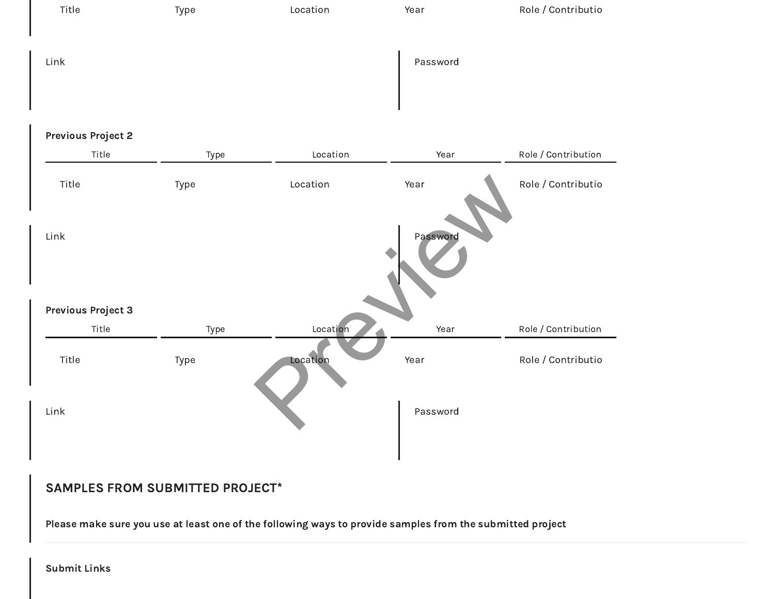

### Previous Project 2

| Title                              | Type | Location | Year     | Role / Contribution |
|------------------------------------|------|----------|----------|---------------------|
| Title                              | Type | Location | Year     | Role / Contributio  |
| Link                               |      |          | Password |                     |
| <b>Previous Project 3</b><br>Title | Type | Location | Year     | Role / Contribution |
| Title                              | Type | Location | Year     | Role / Contributio  |
| Link                               |      |          | Password |                     |
|                                    |      |          |          |                     |

# SAMPLES FROM SUBMITTED PROJECT\*

Please make sure you use at least one of the following ways to provide samples from the submitted project

Submit Links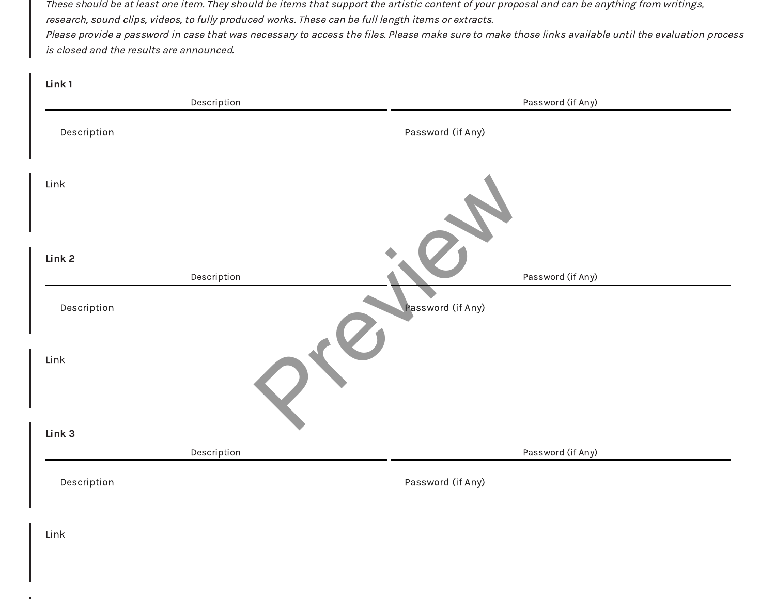These should be at least one item. They should be items that support the artistic content of your proposal and can be anything from writings, research, sound clips, videos, to fully produced works. These can be full length items or extracts. Please provide a password in case that was necessary to access the files. Please make sure to make those links available until the evaluation process is closed and the results are announced.

| Link 1      |             |                   |
|-------------|-------------|-------------------|
|             | Description | Password (if Any) |
| Description |             | Password (if Any) |
| Link        |             |                   |
| Link 2      | Description | Password (if Any) |
| Description |             | Password (if Any) |
| Link        |             |                   |
| Link 3      |             |                   |
|             | Description | Password (if Any) |
| Description |             | Password (if Any) |
|             |             |                   |

Link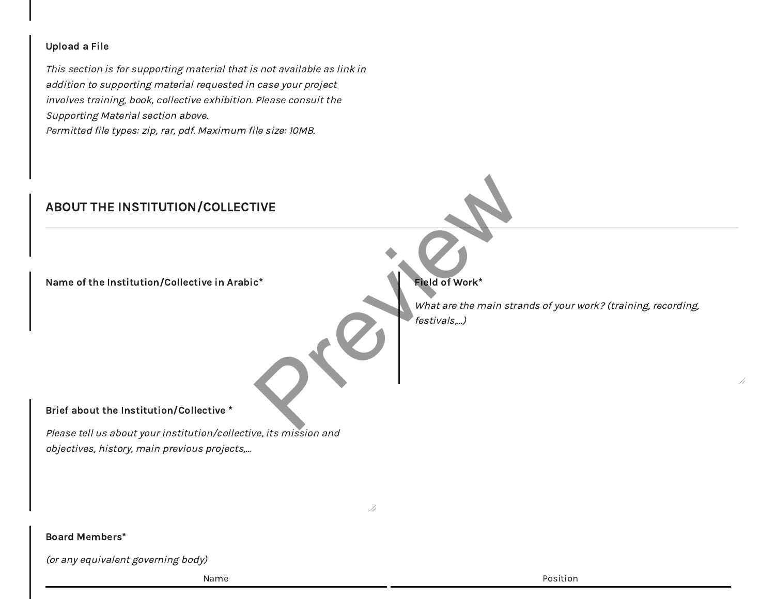### Upload a File

This section is for supporting material that is not available as link in addition to supporting material requested in case your project involves training, book, collective exhibition. Please consult the Supporting Material section above. Permitted file types: zip, rar, pdf. Maximum file size: 10MB.

# ABOUT THE INSTITUTION/COLLECTIVE

Name of the Institution/Collective in Arabic\* Field of Work\*

#### Brief about the Institution/Collective \*

Please tell us about your institution/collective, its mission and objectives, history, main previous projects,…

//

What are the main strands of your work? (training, recording, festivals,…) rive<br>
e<sup>x</sup><br>
explanat are the main strategy of Work<sup>2</sup><br>
Mata are the main strategy of Work<sup>2</sup><br>
festivals,...)

//

#### Board Members\*

(or any equivalent governing body)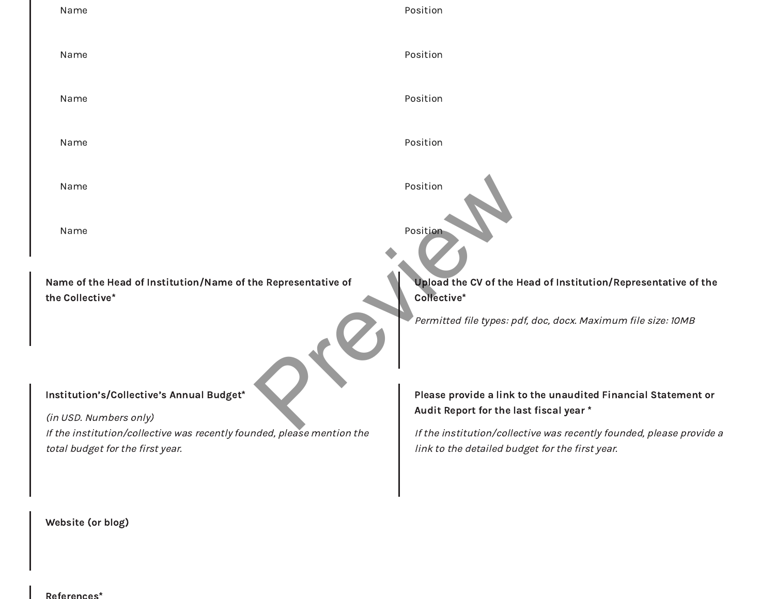| Name                                                                                                                                                                              | Position                                                                                                                                                                                                                            |
|-----------------------------------------------------------------------------------------------------------------------------------------------------------------------------------|-------------------------------------------------------------------------------------------------------------------------------------------------------------------------------------------------------------------------------------|
| Name                                                                                                                                                                              | Position                                                                                                                                                                                                                            |
| Name                                                                                                                                                                              | Position                                                                                                                                                                                                                            |
| Name                                                                                                                                                                              | Position                                                                                                                                                                                                                            |
| Name                                                                                                                                                                              | Position                                                                                                                                                                                                                            |
| Name                                                                                                                                                                              | Position                                                                                                                                                                                                                            |
| Name of the Head of Institution/Name of the Representative of<br>the Collective*                                                                                                  | Upload the CV of the Head of Institution/Representative of the<br>Collective*<br>Permitted file types: pdf, doc, docx. Maximum file size: 10MB $^{\circ}$                                                                           |
| Institution's/Collective's Annual Budget*<br>(in USD. Numbers only)<br>If the institution/collective was recently founded, please mention the<br>total budget for the first year. | Please provide a link to the unaudited Financial Statement or<br>Audit Report for the last fiscal year *<br>If the institution/collective was recently founded, please provide a<br>link to the detailed budget for the first year. |
|                                                                                                                                                                                   |                                                                                                                                                                                                                                     |

Website (or blog)

References\*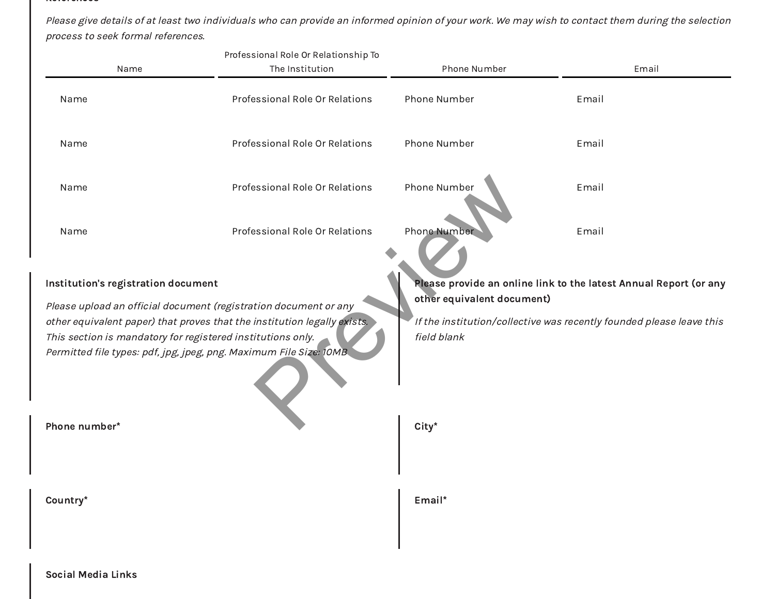#### References

Please give details of at least two individuals who can provide an informed opinion of your work. We may wish to contact them during the selection process to seek formal references.

|                                                                                                                                                                                                                                                                                                                          | Professional Role Or Relationship To |                                                                                                                                                                                        |       |
|--------------------------------------------------------------------------------------------------------------------------------------------------------------------------------------------------------------------------------------------------------------------------------------------------------------------------|--------------------------------------|----------------------------------------------------------------------------------------------------------------------------------------------------------------------------------------|-------|
| Name                                                                                                                                                                                                                                                                                                                     | The Institution                      | Phone Number                                                                                                                                                                           | Email |
| Name                                                                                                                                                                                                                                                                                                                     | Professional Role Or Relations       | Phone Number                                                                                                                                                                           | Email |
| Name                                                                                                                                                                                                                                                                                                                     | Professional Role Or Relations       | Phone Number                                                                                                                                                                           | Email |
| Name                                                                                                                                                                                                                                                                                                                     | Professional Role Or Relations       | Phone Number                                                                                                                                                                           | Email |
| Name                                                                                                                                                                                                                                                                                                                     | Professional Role Or Relations       | <b>Phone Number</b>                                                                                                                                                                    | Email |
| Institution's registration document<br>Please upload an official document (registration document or any<br>other equivalent paper) that proves that the institution legally exists.<br>This section is mandatory for registered institutions only.<br>Permitted file types: pdf, jpg, jpeg, png. Maximum File Size: 10MB |                                      | Please provide an online link to the latest Annual Report (or any<br>other equivalent document)<br>If the institution/collective was recently founded please leave this<br>field blank |       |
| Phone number*                                                                                                                                                                                                                                                                                                            |                                      | $City*$                                                                                                                                                                                |       |
| Country*                                                                                                                                                                                                                                                                                                                 |                                      | Email*                                                                                                                                                                                 |       |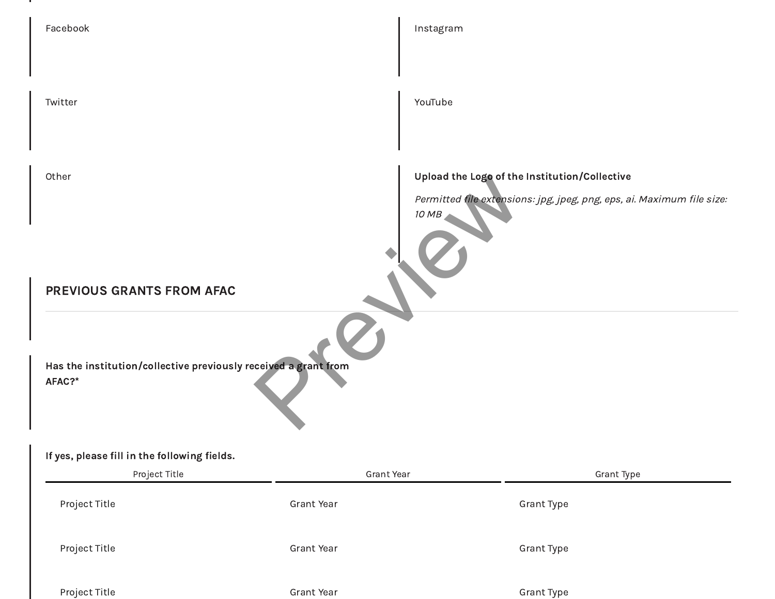| Facebook                                                                                                                  |            | Instagram                                                                                                                        |
|---------------------------------------------------------------------------------------------------------------------------|------------|----------------------------------------------------------------------------------------------------------------------------------|
|                                                                                                                           |            |                                                                                                                                  |
| Twitter                                                                                                                   |            | YouTube                                                                                                                          |
|                                                                                                                           |            |                                                                                                                                  |
| Other                                                                                                                     |            | Upload the Logo of the Institution/Collective<br>Permitted file extensions: jpg, jpeg, png, eps, ai. Maximum file size:<br>10 MB |
|                                                                                                                           |            |                                                                                                                                  |
| PREVIOUS GRANTS FROM AFAC                                                                                                 |            |                                                                                                                                  |
| Has the institution/collective previously received a grant from<br>AFAC?*<br>If yes, please fill in the following fields. |            |                                                                                                                                  |
| Project Title                                                                                                             | Grant Year | Grant Type                                                                                                                       |
| Project Title                                                                                                             | Grant Year | Grant Type                                                                                                                       |
| Project Title                                                                                                             | Grant Year | Grant Type                                                                                                                       |
| Project Title                                                                                                             | Grant Year | Grant Type                                                                                                                       |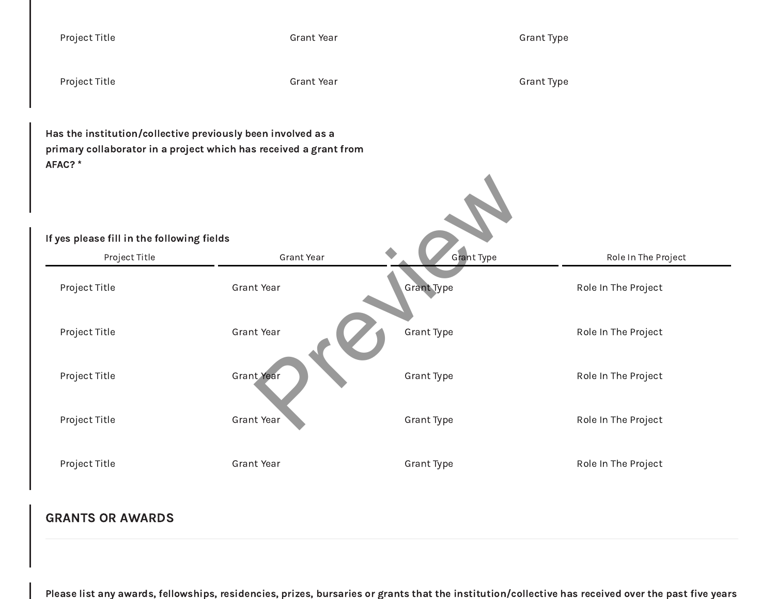| Project Title                                                                                                                               | <b>Grant Year</b> |                   | <b>Grant Type</b>   |  |
|---------------------------------------------------------------------------------------------------------------------------------------------|-------------------|-------------------|---------------------|--|
| Project Title                                                                                                                               | <b>Grant Year</b> |                   | <b>Grant Type</b>   |  |
| Has the institution/collective previously been involved as a<br>primary collaborator in a project which has received a grant from<br>AFAC?* |                   |                   |                     |  |
| If yes please fill in the following fields                                                                                                  |                   |                   |                     |  |
| Project Title                                                                                                                               | Grant Year        | Grant Type        | Role In The Project |  |
| Project Title                                                                                                                               | <b>Grant Year</b> | <b>Grant Type</b> | Role In The Project |  |
| Project Title                                                                                                                               | Grant Year        | <b>Grant Type</b> | Role In The Project |  |
| Project Title                                                                                                                               | Grant Year        | Grant Type        | Role In The Project |  |
| Project Title                                                                                                                               | Grant Year        | Grant Type        | Role In The Project |  |
| Project Title                                                                                                                               | Grant Year        | Grant Type        | Role In The Project |  |
|                                                                                                                                             |                   |                   |                     |  |

# GRANTS OR AWARDS

Please list any awards, fellowships, residencies, prizes, bursaries or grants that the institution/collective has received over the past five years